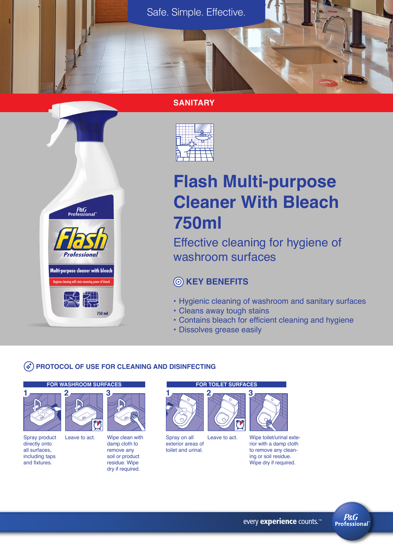#### **SANITARY**



# **Flash Multi-purpose Cleaner With Bleach 750ml**

Effective cleaning for hygiene of washroom surfaces

# **KEY BENEFITS**

- Hygienic cleaning of washroom and sanitary surfaces
- Cleans away tough stains
- Contains bleach for efficient cleaning and hygiene
- Dissolves grease easily

#### **PROTOCOL OF USE FOR CLEANING AND DISINFECTING**

 $750$  ml

#### **FOR WASHROOM SURFACES FOR TOILET SURFACES**

P&G<br>"Professional

**Professional** 

Multi-purpose cleaner with bleach cleaning with stain removing power of blear

**The Second Street** 

**2**



Spray product directly onto all surfaces, including taps and fixtures.



Wipe clean with damp cloth to remove any soil or product residue. Wipe dry if required.



Spray on all exterior areas of toilet and urinal. Leave to act.



Wipe toilet/urinal exterior with a damp cloth to remove any cleaning or soil residue. Wipe dry if required.



every experience counts.<sup>™</sup>